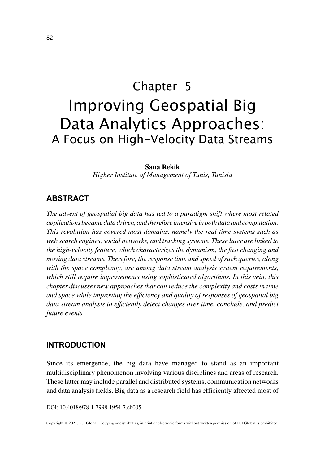# Chapter 5 Improving Geospatial Big Data Analytics Approaches: A Focus on High-Velocity Data Streams

#### **Sana Rekik**

*Higher Institute of Management of Tunis, Tunisia*

#### **ABSTRACT**

*The advent of geospatial big data has led to a paradigm shift where most related applications became data driven, and therefore intensive in both data and computation. This revolution has covered most domains, namely the real-time systems such as web search engines, social networks, and tracking systems. These later are linked to the high-velocity feature, which characterizes the dynamism, the fast changing and moving data streams. Therefore, the response time and speed of such queries, along with the space complexity, are among data stream analysis system requirements, which still require improvements using sophisticated algorithms. In this vein, this chapter discusses new approaches that can reduce the complexity and costs in time and space while improving the efficiency and quality of responses of geospatial big data stream analysis to efficiently detect changes over time, conclude, and predict future events.*

#### **INTRODUCTION**

Since its emergence, the big data have managed to stand as an important multidisciplinary phenomenon involving various disciplines and areas of research. These latter may include parallel and distributed systems, communication networks and data analysis fields. Big data as a research field has efficiently affected most of

DOI: 10.4018/978-1-7998-1954-7.ch005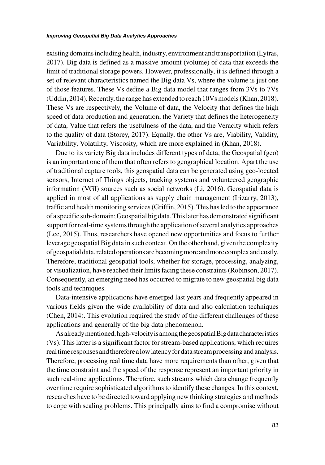#### *Improving Geospatial Big Data Analytics Approaches*

existing domains including health, industry, environment and transportation (Lytras, 2017). Big data is defined as a massive amount (volume) of data that exceeds the limit of traditional storage powers. However, professionally, it is defined through a set of relevant characteristics named the Big data Vs, where the volume is just one of those features. These Vs define a Big data model that ranges from 3Vs to 7Vs (Uddin, 2014). Recently, the range has extended to reach 10Vs models (Khan, 2018). These Vs are respectively, the Volume of data, the Velocity that defines the high speed of data production and generation, the Variety that defines the heterogeneity of data, Value that refers the usefulness of the data, and the Veracity which refers to the quality of data (Storey, 2017). Equally, the other Vs are, Viability, Validity, Variability, Volatility, Viscosity, which are more explained in (Khan, 2018).

Due to its variety Big data includes different types of data, the Geospatial (geo) is an important one of them that often refers to geographical location. Apart the use of traditional capture tools, this geospatial data can be generated using geo-located sensors, Internet of Things objects, tracking systems and volunteered geographic information (VGI) sources such as social networks (Li, 2016). Geospatial data is applied in most of all applications as supply chain management (Irizarry, 2013), traffic and health monitoring services (Griffin, 2015). This has led to the appearance of a specific sub-domain; Geospatial big data. This later has demonstrated significant support for real-time systems through the application of several analytics approaches (Lee, 2015). Thus, researchers have opened new opportunities and focus to further leverage geospatial Big data in such context. On the other hand, given the complexity of geospatial data, related operations are becoming more and more complex and costly. Therefore, traditional geospatial tools, whether for storage, processing, analyzing, or visualization, have reached their limits facing these constraints (Robinson, 2017). Consequently, an emerging need has occurred to migrate to new geospatial big data tools and techniques.

Data-intensive applications have emerged last years and frequently appeared in various fields given the wide availability of data and also calculation techniques (Chen, 2014). This evolution required the study of the different challenges of these applications and generally of the big data phenomenon.

As already mentioned, high-velocity is among the geospatial Big data characteristics (Vs). This latter is a significant factor for stream-based applications, which requires real time responses and therefore a low latency for data stream processing and analysis. Therefore, processing real time data have more requirements than other, given that the time constraint and the speed of the response represent an important priority in such real-time applications. Therefore, such streams which data change frequently over time require sophisticated algorithms to identify these changes. In this context, researches have to be directed toward applying new thinking strategies and methods to cope with scaling problems. This principally aims to find a compromise without